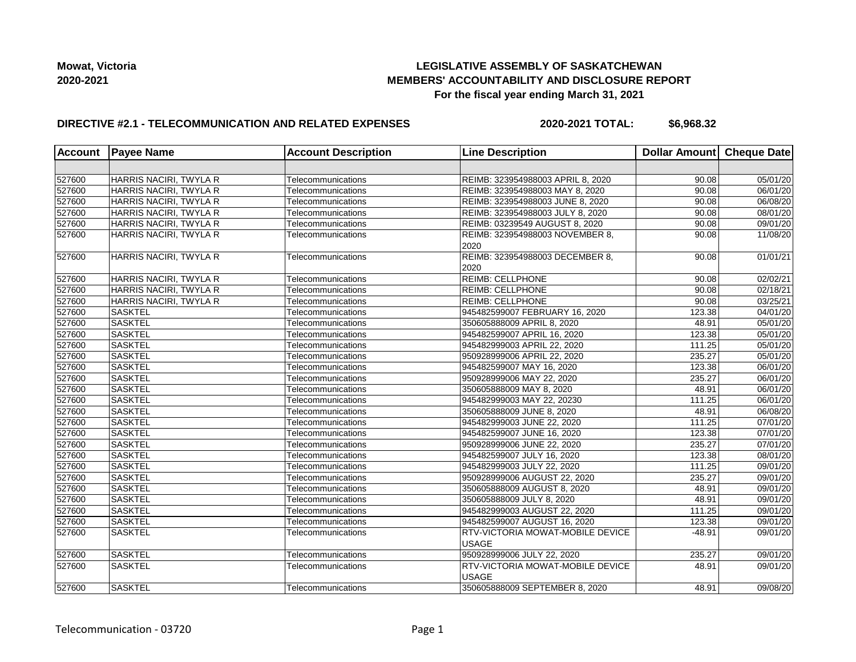## **LEGISLATIVE ASSEMBLY OF SASKATCHEWAN MEMBERS' ACCOUNTABILITY AND DISCLOSURE REPORT For the fiscal year ending March 31, 2021**

## **DIRECTIVE #2.1 - TELECOMMUNICATION AND RELATED EXPENSES**

**2020-2021 TOTAL: \$6,968.32**

|        | Account Payee Name     | <b>Account Description</b> | <b>Line Description</b>                                 | Dollar Amount Cheque Date |          |
|--------|------------------------|----------------------------|---------------------------------------------------------|---------------------------|----------|
|        |                        |                            |                                                         |                           |          |
| 527600 | HARRIS NACIRI, TWYLA R | Telecommunications         | REIMB: 323954988003 APRIL 8, 2020                       | 90.08                     | 05/01/20 |
| 527600 | HARRIS NACIRI, TWYLA R | Telecommunications         | REIMB: 323954988003 MAY 8, 2020                         | 90.08                     | 06/01/20 |
| 527600 | HARRIS NACIRI, TWYLA R | Telecommunications         | REIMB: 323954988003 JUNE 8, 2020                        | 90.08                     | 06/08/20 |
| 527600 | HARRIS NACIRI, TWYLA R | Telecommunications         | REIMB: 323954988003 JULY 8, 2020                        | 90.08                     | 08/01/20 |
| 527600 | HARRIS NACIRI, TWYLA R | Telecommunications         | REIMB: 03239549 AUGUST 8, 2020                          | 90.08                     | 09/01/20 |
| 527600 | HARRIS NACIRI, TWYLA R | Telecommunications         | REIMB: 323954988003 NOVEMBER 8,<br>2020                 | 90.08                     | 11/08/20 |
| 527600 | HARRIS NACIRI, TWYLA R | Telecommunications         | REIMB: 323954988003 DECEMBER 8,<br>2020                 | 90.08                     | 01/01/21 |
| 527600 | HARRIS NACIRI, TWYLA R | Telecommunications         | <b>REIMB: CELLPHONE</b>                                 | 90.08                     | 02/02/21 |
| 527600 | HARRIS NACIRI, TWYLA R | Telecommunications         | <b>REIMB: CELLPHONE</b>                                 | 90.08                     | 02/18/21 |
| 527600 | HARRIS NACIRI, TWYLA R | Telecommunications         | <b>REIMB: CELLPHONE</b>                                 | 90.08                     | 03/25/21 |
| 527600 | <b>SASKTEL</b>         | Telecommunications         | 945482599007 FEBRUARY 16, 2020                          | 123.38                    | 04/01/20 |
| 527600 | <b>SASKTEL</b>         | Telecommunications         | 350605888009 APRIL 8, 2020                              | 48.91                     | 05/01/20 |
| 527600 | <b>SASKTEL</b>         | Telecommunications         | 945482599007 APRIL 16, 2020                             | 123.38                    | 05/01/20 |
| 527600 | <b>SASKTEL</b>         | Telecommunications         | 945482999003 APRIL 22, 2020                             | 111.25                    | 05/01/20 |
| 527600 | <b>SASKTEL</b>         | Telecommunications         | 950928999006 APRIL 22, 2020                             | 235.27                    | 05/01/20 |
| 527600 | <b>SASKTEL</b>         | Telecommunications         | 945482599007 MAY 16, 2020                               | 123.38                    | 06/01/20 |
| 527600 | <b>SASKTEL</b>         | Telecommunications         | 950928999006 MAY 22, 2020                               | 235.27                    | 06/01/20 |
| 527600 | <b>SASKTEL</b>         | Telecommunications         | 350605888009 MAY 8, 2020                                | 48.91                     | 06/01/20 |
| 527600 | <b>SASKTEL</b>         | Telecommunications         | 945482999003 MAY 22, 20230                              | 111.25                    | 06/01/20 |
| 527600 | <b>SASKTEL</b>         | Telecommunications         | 350605888009 JUNE 8, 2020                               | 48.91                     | 06/08/20 |
| 527600 | <b>SASKTEL</b>         | Telecommunications         | 945482999003 JUNE 22, 2020                              | 111.25                    | 07/01/20 |
| 527600 | <b>SASKTEL</b>         | Telecommunications         | 945482599007 JUNE 16, 2020                              | 123.38                    | 07/01/20 |
| 527600 | <b>SASKTEL</b>         | Telecommunications         | 950928999006 JUNE 22, 2020                              | 235.27                    | 07/01/20 |
| 527600 | <b>SASKTEL</b>         | Telecommunications         | 945482599007 JULY 16, 2020                              | 123.38                    | 08/01/20 |
| 527600 | <b>SASKTEL</b>         | Telecommunications         | 945482999003 JULY 22, 2020                              | 111.25                    | 09/01/20 |
| 527600 | <b>SASKTEL</b>         | Telecommunications         | 950928999006 AUGUST 22, 2020                            | 235.27                    | 09/01/20 |
| 527600 | <b>SASKTEL</b>         | Telecommunications         | 350605888009 AUGUST 8, 2020                             | 48.91                     | 09/01/20 |
| 527600 | <b>SASKTEL</b>         | Telecommunications         | 350605888009 JULY 8, 2020                               | 48.91                     | 09/01/20 |
| 527600 | <b>SASKTEL</b>         | Telecommunications         | 945482999003 AUGUST 22, 2020                            | 111.25                    | 09/01/20 |
| 527600 | <b>SASKTEL</b>         | Telecommunications         | 945482599007 AUGUST 16, 2020                            | 123.38                    | 09/01/20 |
| 527600 | <b>SASKTEL</b>         | Telecommunications         | <b>RTV-VICTORIA MOWAT-MOBILE DEVICE</b><br><b>USAGE</b> | $-48.91$                  | 09/01/20 |
| 527600 | <b>SASKTEL</b>         | Telecommunications         | 950928999006 JULY 22, 2020                              | 235.27                    | 09/01/20 |
| 527600 | <b>SASKTEL</b>         | Telecommunications         | <b>RTV-VICTORIA MOWAT-MOBILE DEVICE</b><br><b>USAGE</b> | 48.91                     | 09/01/20 |
| 527600 | <b>SASKTEL</b>         | Telecommunications         | 350605888009 SEPTEMBER 8, 2020                          | 48.91                     | 09/08/20 |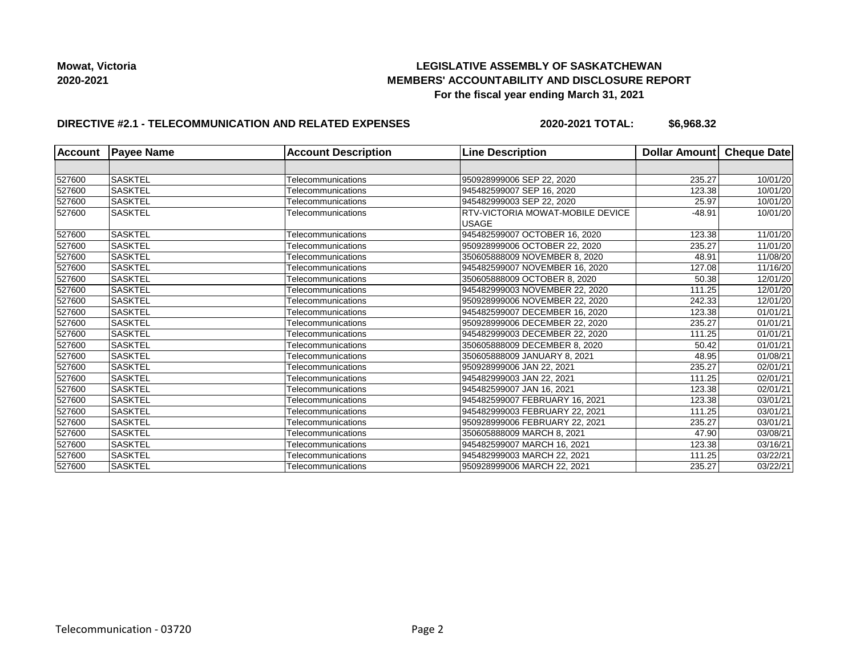## **LEGISLATIVE ASSEMBLY OF SASKATCHEWAN MEMBERS' ACCOUNTABILITY AND DISCLOSURE REPORT For the fiscal year ending March 31, 2021**

## **DIRECTIVE #2.1 - TELECOMMUNICATION AND RELATED EXPENSES**

**2020-2021 TOTAL: \$6,968.32**

| <b>Account</b> | <b>Payee Name</b> | <b>Account Description</b> | <b>Line Description</b>                          | Dollar Amount | <b>Cheque Date</b> |
|----------------|-------------------|----------------------------|--------------------------------------------------|---------------|--------------------|
|                |                   |                            |                                                  |               |                    |
| 527600         | <b>SASKTEL</b>    | Telecommunications         | 950928999006 SEP 22, 2020                        | 235.27        | 10/01/20           |
| 527600         | <b>SASKTEL</b>    | Telecommunications         | 945482599007 SEP 16, 2020                        | 123.38        | 10/01/20           |
| 527600         | <b>SASKTEL</b>    | Telecommunications         | 945482999003 SEP 22, 2020                        | 25.97         | 10/01/20           |
| 527600         | <b>SASKTEL</b>    | Telecommunications         | RTV-VICTORIA MOWAT-MOBILE DEVICE<br><b>USAGE</b> | $-48.91$      | 10/01/20           |
| 527600         | <b>SASKTEL</b>    | Telecommunications         | 945482599007 OCTOBER 16, 2020                    | 123.38        | 11/01/20           |
| 527600         | <b>SASKTEL</b>    | Telecommunications         | 950928999006 OCTOBER 22, 2020                    | 235.27        | 11/01/20           |
| 527600         | <b>SASKTEL</b>    | Telecommunications         | 350605888009 NOVEMBER 8, 2020                    | 48.91         | 11/08/20           |
| 527600         | <b>SASKTEL</b>    | Telecommunications         | 945482599007 NOVEMBER 16, 2020                   | 127.08        | 11/16/20           |
| 527600         | <b>SASKTEL</b>    | Telecommunications         | 350605888009 OCTOBER 8, 2020                     | 50.38         | 12/01/20           |
| 527600         | <b>SASKTEL</b>    | Telecommunications         | 945482999003 NOVEMBER 22, 2020                   | 111.25        | 12/01/20           |
| 527600         | <b>SASKTEL</b>    | Telecommunications         | 950928999006 NOVEMBER 22, 2020                   | 242.33        | 12/01/20           |
| 527600         | <b>SASKTEL</b>    | Telecommunications         | 945482599007 DECEMBER 16, 2020                   | 123.38        | 01/01/21           |
| 527600         | <b>SASKTEL</b>    | Telecommunications         | 950928999006 DECEMBER 22, 2020                   | 235.27        | 01/01/21           |
| 527600         | <b>SASKTEL</b>    | Telecommunications         | 945482999003 DECEMBER 22, 2020                   | 111.25        | 01/01/21           |
| 527600         | <b>SASKTEL</b>    | Telecommunications         | 350605888009 DECEMBER 8, 2020                    | 50.42         | 01/01/21           |
| 527600         | <b>SASKTEL</b>    | Telecommunications         | 350605888009 JANUARY 8, 2021                     | 48.95         | 01/08/21           |
| 527600         | <b>SASKTEL</b>    | Telecommunications         | 950928999006 JAN 22, 2021                        | 235.27        | 02/01/21           |
| 527600         | <b>SASKTEL</b>    | Telecommunications         | 945482999003 JAN 22, 2021                        | 111.25        | 02/01/21           |
| 527600         | <b>SASKTEL</b>    | Telecommunications         | 945482599007 JAN 16, 2021                        | 123.38        | 02/01/21           |
| 527600         | <b>SASKTEL</b>    | Telecommunications         | 945482599007 FEBRUARY 16, 2021                   | 123.38        | 03/01/21           |
| 527600         | <b>SASKTEL</b>    | Telecommunications         | 945482999003 FEBRUARY 22. 2021                   | 111.25        | 03/01/21           |
| 527600         | <b>SASKTEL</b>    | Telecommunications         | 950928999006 FEBRUARY 22, 2021                   | 235.27        | 03/01/21           |
| 527600         | <b>SASKTEL</b>    | Telecommunications         | 350605888009 MARCH 8, 2021                       | 47.90         | 03/08/21           |
| 527600         | <b>SASKTEL</b>    | Telecommunications         | 945482599007 MARCH 16, 2021                      | 123.38        | 03/16/21           |
| 527600         | <b>SASKTEL</b>    | Telecommunications         | 945482999003 MARCH 22, 2021                      | 111.25        | 03/22/21           |
| 527600         | <b>SASKTEL</b>    | Telecommunications         | 950928999006 MARCH 22, 2021                      | 235.27        | 03/22/21           |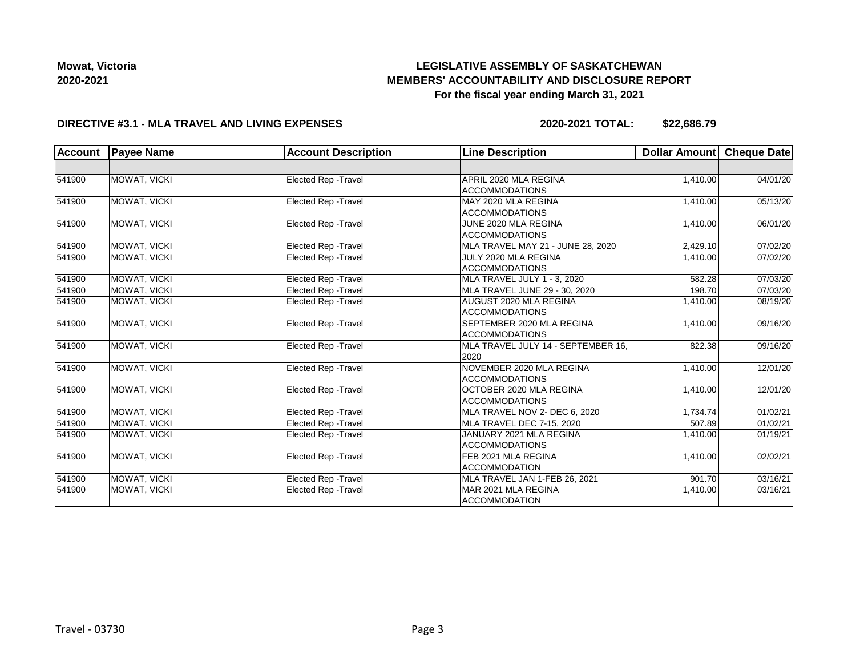# **LEGISLATIVE ASSEMBLY OF SASKATCHEWAN MEMBERS' ACCOUNTABILITY AND DISCLOSURE REPORT For the fiscal year ending March 31, 2021**

### **DIRECTIVE #3.1 - MLA TRAVEL AND LIVING EXPENSES**

**2020-2021 TOTAL: \$22,686.79**

| <b>Account</b> | <b>Payee Name</b>   | <b>Account Description</b>  | <b>Line Description</b>            | Dollar Amount | Cheque Date |
|----------------|---------------------|-----------------------------|------------------------------------|---------------|-------------|
|                |                     |                             |                                    |               |             |
| 541900         | MOWAT, VICKI        | <b>Elected Rep - Travel</b> | APRIL 2020 MLA REGINA              | 1,410.00      | 04/01/20    |
|                |                     |                             | <b>ACCOMMODATIONS</b>              |               |             |
| 541900         | MOWAT, VICKI        | Elected Rep - Travel        | MAY 2020 MLA REGINA                | 1,410.00      | 05/13/20    |
|                |                     |                             | <b>ACCOMMODATIONS</b>              |               |             |
| 541900         | MOWAT, VICKI        | Elected Rep - Travel        | JUNE 2020 MLA REGINA               | 1,410.00      | 06/01/20    |
|                |                     |                             | <b>ACCOMMODATIONS</b>              |               |             |
| 541900         | <b>MOWAT, VICKI</b> | <b>Elected Rep - Travel</b> | MLA TRAVEL MAY 21 - JUNE 28, 2020  | 2,429.10      | 07/02/20    |
| 541900         | MOWAT, VICKI        | Elected Rep - Travel        | JULY 2020 MLA REGINA               | 1,410.00      | 07/02/20    |
|                |                     |                             | <b>ACCOMMODATIONS</b>              |               |             |
| 541900         | MOWAT, VICKI        | Elected Rep - Travel        | MLA TRAVEL JULY 1 - 3, 2020        | 582.28        | 07/03/20    |
| 541900         | <b>MOWAT, VICKI</b> | <b>Elected Rep - Travel</b> | MLA TRAVEL JUNE 29 - 30, 2020      | 198.70        | 07/03/20    |
| 541900         | MOWAT, VICKI        | Elected Rep - Travel        | AUGUST 2020 MLA REGINA             | 1,410.00      | 08/19/20    |
|                |                     |                             | <b>ACCOMMODATIONS</b>              |               |             |
| 541900         | MOWAT, VICKI        | Elected Rep - Travel        | SEPTEMBER 2020 MLA REGINA          | 1,410.00      | 09/16/20    |
|                |                     |                             | <b>ACCOMMODATIONS</b>              |               |             |
| 541900         | MOWAT, VICKI        | Elected Rep - Travel        | MLA TRAVEL JULY 14 - SEPTEMBER 16, | 822.38        | 09/16/20    |
|                |                     |                             | 2020                               |               |             |
| 541900         | MOWAT, VICKI        | <b>Elected Rep - Travel</b> | NOVEMBER 2020 MLA REGINA           | 1,410.00      | 12/01/20    |
|                |                     |                             | <b>ACCOMMODATIONS</b>              |               |             |
| 541900         | MOWAT, VICKI        | Elected Rep - Travel        | OCTOBER 2020 MLA REGINA            | 1,410.00      | 12/01/20    |
|                |                     |                             | <b>ACCOMMODATIONS</b>              |               |             |
| 541900         | <b>MOWAT, VICKI</b> | Elected Rep - Travel        | MLA TRAVEL NOV 2- DEC 6, 2020      | 1,734.74      | 01/02/21    |
| 541900         | <b>MOWAT, VICKI</b> | Elected Rep - Travel        | MLA TRAVEL DEC 7-15, 2020          | 507.89        | 01/02/21    |
| 541900         | MOWAT, VICKI        | <b>Elected Rep - Travel</b> | JANUARY 2021 MLA REGINA            | 1,410.00      | 01/19/21    |
|                |                     |                             | <b>ACCOMMODATIONS</b>              |               |             |
| 541900         | MOWAT, VICKI        | Elected Rep - Travel        | FEB 2021 MLA REGINA                | 1,410.00      | 02/02/21    |
|                |                     |                             | <b>ACCOMMODATION</b>               |               |             |
| 541900         | MOWAT, VICKI        | <b>Elected Rep - Travel</b> | MLA TRAVEL JAN 1-FEB 26, 2021      | 901.70        | 03/16/21    |
| 541900         | MOWAT, VICKI        | <b>Elected Rep - Travel</b> | MAR 2021 MLA REGINA                | 1,410.00      | 03/16/21    |
|                |                     |                             | <b>ACCOMMODATION</b>               |               |             |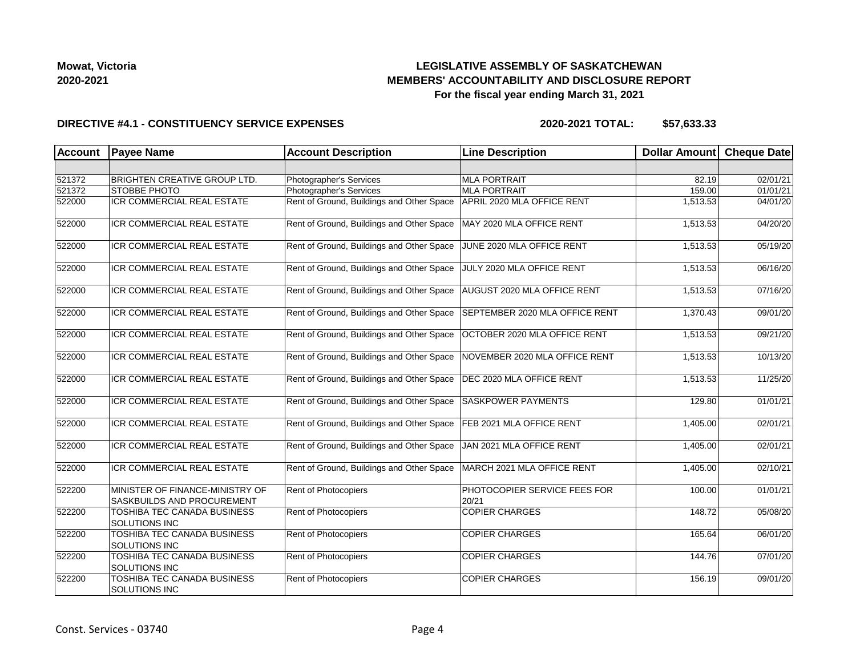## **LEGISLATIVE ASSEMBLY OF SASKATCHEWAN MEMBERS' ACCOUNTABILITY AND DISCLOSURE REPORT For the fiscal year ending March 31, 2021**

### **DIRECTIVE #4.1 - CONSTITUENCY SERVICE EXPENSES**

| <b>Account</b> | <b>Payee Name</b>                                             | <b>Account Description</b>                | <b>Line Description</b>               | <b>Dollar Amount</b> | <b>Cheque Date</b> |
|----------------|---------------------------------------------------------------|-------------------------------------------|---------------------------------------|----------------------|--------------------|
|                |                                                               |                                           |                                       |                      |                    |
| 521372         | <b>BRIGHTEN CREATIVE GROUP LTD.</b>                           | Photographer's Services                   | <b>MLA PORTRAIT</b>                   | 82.19                | 02/01/21           |
| 521372         | <b>STOBBE PHOTO</b>                                           | Photographer's Services                   | <b>MLA PORTRAIT</b>                   | 159.00               | 01/01/21           |
| 522000         | <b>ICR COMMERCIAL REAL ESTATE</b>                             | Rent of Ground, Buildings and Other Space | APRIL 2020 MLA OFFICE RENT            | 1,513.53             | 04/01/20           |
| 522000         | ICR COMMERCIAL REAL ESTATE                                    | Rent of Ground, Buildings and Other Space | MAY 2020 MLA OFFICE RENT              | 1,513.53             | 04/20/20           |
| 522000         | ICR COMMERCIAL REAL ESTATE                                    | Rent of Ground, Buildings and Other Space | JUNE 2020 MLA OFFICE RENT             | 1,513.53             | 05/19/20           |
| 522000         | ICR COMMERCIAL REAL ESTATE                                    | Rent of Ground, Buildings and Other Space | JULY 2020 MLA OFFICE RENT             | 1,513.53             | 06/16/20           |
| 522000         | ICR COMMERCIAL REAL ESTATE                                    | Rent of Ground, Buildings and Other Space | AUGUST 2020 MLA OFFICE RENT           | 1,513.53             | 07/16/20           |
| 522000         | ICR COMMERCIAL REAL ESTATE                                    | Rent of Ground, Buildings and Other Space | SEPTEMBER 2020 MLA OFFICE RENT        | 1,370.43             | 09/01/20           |
| 522000         | <b>ICR COMMERCIAL REAL ESTATE</b>                             | Rent of Ground, Buildings and Other Space | OCTOBER 2020 MLA OFFICE RENT          | 1,513.53             | 09/21/20           |
| 522000         | ICR COMMERCIAL REAL ESTATE                                    | Rent of Ground, Buildings and Other Space | NOVEMBER 2020 MLA OFFICE RENT         | 1,513.53             | 10/13/20           |
| 522000         | ICR COMMERCIAL REAL ESTATE                                    | Rent of Ground, Buildings and Other Space | DEC 2020 MLA OFFICE RENT              | 1,513.53             | 11/25/20           |
| 522000         | ICR COMMERCIAL REAL ESTATE                                    | Rent of Ground, Buildings and Other Space | <b>SASKPOWER PAYMENTS</b>             | 129.80               | 01/01/21           |
| 522000         | ICR COMMERCIAL REAL ESTATE                                    | Rent of Ground, Buildings and Other Space | FEB 2021 MLA OFFICE RENT              | 1,405.00             | 02/01/21           |
| 522000         | <b>ICR COMMERCIAL REAL ESTATE</b>                             | Rent of Ground, Buildings and Other Space | JAN 2021 MLA OFFICE RENT              | 1,405.00             | 02/01/21           |
| 522000         | <b>ICR COMMERCIAL REAL ESTATE</b>                             | Rent of Ground, Buildings and Other Space | MARCH 2021 MLA OFFICE RENT            | 1,405.00             | 02/10/21           |
| 522200         | MINISTER OF FINANCE-MINISTRY OF<br>SASKBUILDS AND PROCUREMENT | Rent of Photocopiers                      | PHOTOCOPIER SERVICE FEES FOR<br>20/21 | 100.00               | 01/01/21           |
| 522200         | TOSHIBA TEC CANADA BUSINESS<br>SOLUTIONS INC                  | Rent of Photocopiers                      | <b>COPIER CHARGES</b>                 | 148.72               | 05/08/20           |
| 522200         | <b>TOSHIBA TEC CANADA BUSINESS</b><br><b>SOLUTIONS INC</b>    | Rent of Photocopiers                      | <b>COPIER CHARGES</b>                 | 165.64               | 06/01/20           |
| 522200         | TOSHIBA TEC CANADA BUSINESS<br>SOLUTIONS INC                  | Rent of Photocopiers                      | <b>COPIER CHARGES</b>                 | 144.76               | 07/01/20           |
| 522200         | TOSHIBA TEC CANADA BUSINESS<br><b>SOLUTIONS INC</b>           | Rent of Photocopiers                      | <b>COPIER CHARGES</b>                 | 156.19               | 09/01/20           |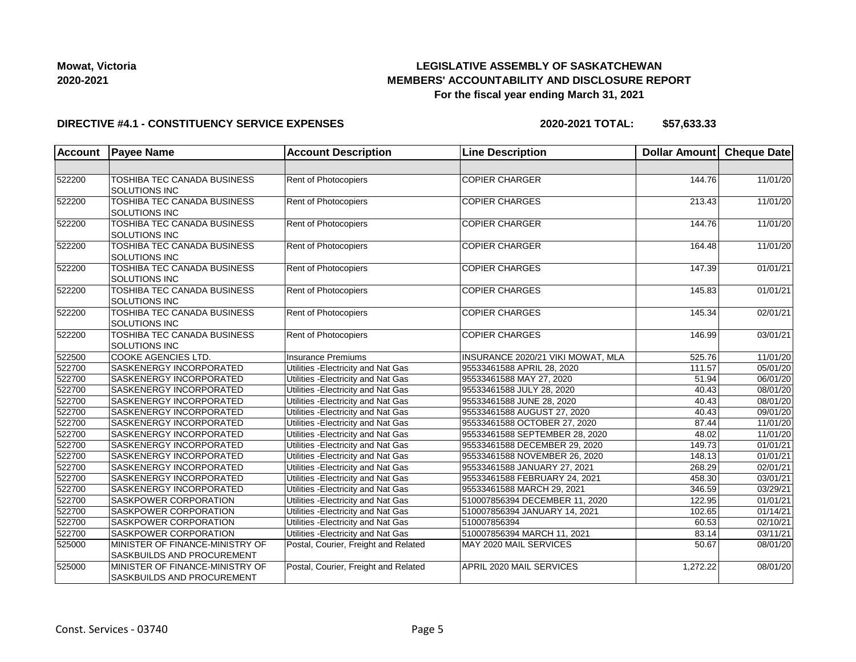## **LEGISLATIVE ASSEMBLY OF SASKATCHEWAN MEMBERS' ACCOUNTABILITY AND DISCLOSURE REPORT For the fiscal year ending March 31, 2021**

### **DIRECTIVE #4.1 - CONSTITUENCY SERVICE EXPENSES**

| <b>Account</b> | <b>Payee Name</b>                                             | <b>Account Description</b>           | <b>Line Description</b>           | Dollar Amount | <b>Cheque Date</b> |
|----------------|---------------------------------------------------------------|--------------------------------------|-----------------------------------|---------------|--------------------|
|                |                                                               |                                      |                                   |               |                    |
| 522200         | TOSHIBA TEC CANADA BUSINESS<br>SOLUTIONS INC                  | Rent of Photocopiers                 | <b>COPIER CHARGER</b>             | 144.76        | 11/01/20           |
| 522200         | TOSHIBA TEC CANADA BUSINESS<br><b>SOLUTIONS INC</b>           | Rent of Photocopiers                 | <b>COPIER CHARGES</b>             | 213.43        | 11/01/20           |
| 522200         | <b>TOSHIBA TEC CANADA BUSINESS</b><br><b>SOLUTIONS INC</b>    | Rent of Photocopiers                 | <b>COPIER CHARGER</b>             | 144.76        | 11/01/20           |
| 522200         | <b>TOSHIBA TEC CANADA BUSINESS</b><br><b>SOLUTIONS INC</b>    | Rent of Photocopiers                 | <b>COPIER CHARGER</b>             | 164.48        | 11/01/20           |
| 522200         | TOSHIBA TEC CANADA BUSINESS<br><b>SOLUTIONS INC</b>           | Rent of Photocopiers                 | <b>COPIER CHARGES</b>             | 147.39        | 01/01/21           |
| 522200         | TOSHIBA TEC CANADA BUSINESS<br><b>SOLUTIONS INC</b>           | Rent of Photocopiers                 | <b>COPIER CHARGES</b>             | 145.83        | 01/01/21           |
| 522200         | TOSHIBA TEC CANADA BUSINESS<br>SOLUTIONS INC                  | <b>Rent of Photocopiers</b>          | <b>COPIER CHARGES</b>             | 145.34        | 02/01/21           |
| 522200         | TOSHIBA TEC CANADA BUSINESS<br>SOLUTIONS INC                  | Rent of Photocopiers                 | <b>COPIER CHARGES</b>             | 146.99        | 03/01/21           |
| 522500         | COOKE AGENCIES LTD.                                           | <b>Insurance Premiums</b>            | INSURANCE 2020/21 VIKI MOWAT, MLA | 525.76        | 11/01/20           |
| 522700         | SASKENERGY INCORPORATED                                       | Utilities - Electricity and Nat Gas  | 95533461588 APRIL 28, 2020        | 111.57        | 05/01/20           |
| 522700         | SASKENERGY INCORPORATED                                       | Utilities - Electricity and Nat Gas  | 95533461588 MAY 27, 2020          | 51.94         | 06/01/20           |
| 522700         | <b>SASKENERGY INCORPORATED</b>                                | Utilities - Electricity and Nat Gas  | 95533461588 JULY 28, 2020         | 40.43         | 08/01/20           |
| 522700         | SASKENERGY INCORPORATED                                       | Utilities - Electricity and Nat Gas  | 95533461588 JUNE 28, 2020         | 40.43         | 08/01/20           |
| 522700         | SASKENERGY INCORPORATED                                       | Utilities - Electricity and Nat Gas  | 95533461588 AUGUST 27, 2020       | 40.43         | 09/01/20           |
| 522700         | SASKENERGY INCORPORATED                                       | Utilities - Electricity and Nat Gas  | 95533461588 OCTOBER 27, 2020      | 87.44         | 11/01/20           |
| 522700         | <b>SASKENERGY INCORPORATED</b>                                | Utilities - Electricity and Nat Gas  | 95533461588 SEPTEMBER 28, 2020    | 48.02         | 11/01/20           |
| 522700         | SASKENERGY INCORPORATED                                       | Utilities - Electricity and Nat Gas  | 95533461588 DECEMBER 29, 2020     | 149.73        | 01/01/21           |
| 522700         | SASKENERGY INCORPORATED                                       | Utilities - Electricity and Nat Gas  | 95533461588 NOVEMBER 26, 2020     | 148.13        | 01/01/21           |
| 522700         | SASKENERGY INCORPORATED                                       | Utilities - Electricity and Nat Gas  | 95533461588 JANUARY 27, 2021      | 268.29        | 02/01/21           |
| 522700         | <b>SASKENERGY INCORPORATED</b>                                | Utilities - Electricity and Nat Gas  | 95533461588 FEBRUARY 24, 2021     | 458.30        | 03/01/21           |
| 522700         | SASKENERGY INCORPORATED                                       | Utilities - Electricity and Nat Gas  | 95533461588 MARCH 29, 2021        | 346.59        | 03/29/21           |
| 522700         | SASKPOWER CORPORATION                                         | Utilities - Electricity and Nat Gas  | 510007856394 DECEMBER 11, 2020    | 122.95        | 01/01/21           |
| 522700         | <b>SASKPOWER CORPORATION</b>                                  | Utilities - Electricity and Nat Gas  | 510007856394 JANUARY 14, 2021     | 102.65        | 01/14/21           |
| 522700         | SASKPOWER CORPORATION                                         | Utilities - Electricity and Nat Gas  | 510007856394                      | 60.53         | 02/10/21           |
| 522700         | SASKPOWER CORPORATION                                         | Utilities - Electricity and Nat Gas  | 510007856394 MARCH 11, 2021       | 83.14         | 03/11/21           |
| 525000         | MINISTER OF FINANCE-MINISTRY OF<br>SASKBUILDS AND PROCUREMENT | Postal, Courier, Freight and Related | MAY 2020 MAIL SERVICES            | 50.67         | 08/01/20           |
| 525000         | MINISTER OF FINANCE-MINISTRY OF<br>SASKBUILDS AND PROCUREMENT | Postal, Courier, Freight and Related | APRIL 2020 MAIL SERVICES          | 1,272.22      | 08/01/20           |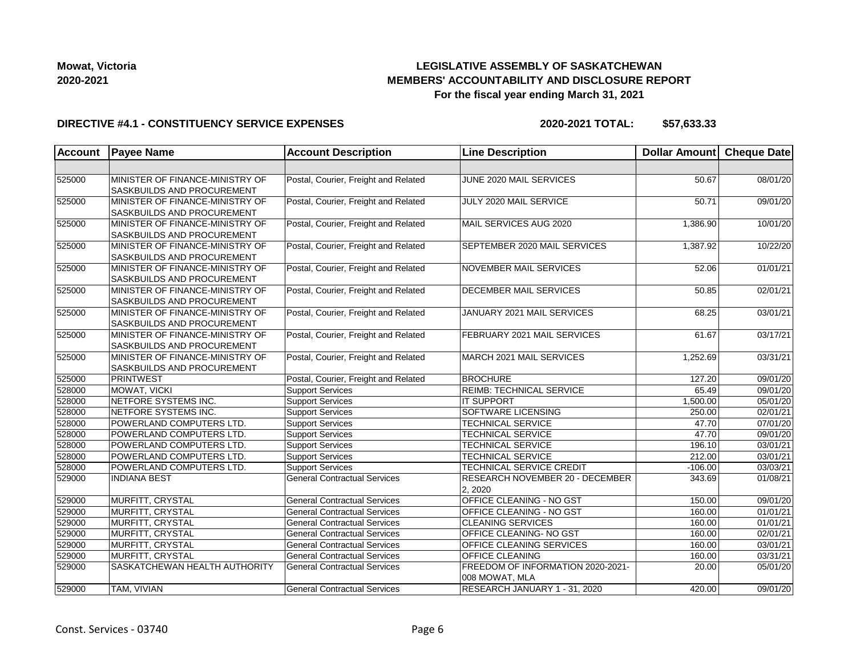# **LEGISLATIVE ASSEMBLY OF SASKATCHEWAN MEMBERS' ACCOUNTABILITY AND DISCLOSURE REPORT For the fiscal year ending March 31, 2021**

### **DIRECTIVE #4.1 - CONSTITUENCY SERVICE EXPENSES**

| <b>Account</b> | <b>Payee Name</b>                                             | <b>Account Description</b>           | <b>Line Description</b>                             | Dollar Amount Cheque Date |          |
|----------------|---------------------------------------------------------------|--------------------------------------|-----------------------------------------------------|---------------------------|----------|
|                |                                                               |                                      |                                                     |                           |          |
| 525000         | MINISTER OF FINANCE-MINISTRY OF<br>SASKBUILDS AND PROCUREMENT | Postal, Courier, Freight and Related | JUNE 2020 MAIL SERVICES                             | 50.67                     | 08/01/20 |
| 525000         | MINISTER OF FINANCE-MINISTRY OF<br>SASKBUILDS AND PROCUREMENT | Postal, Courier, Freight and Related | JULY 2020 MAIL SERVICE                              | 50.71                     | 09/01/20 |
| 525000         | MINISTER OF FINANCE-MINISTRY OF<br>SASKBUILDS AND PROCUREMENT | Postal, Courier, Freight and Related | MAIL SERVICES AUG 2020                              | 1,386.90                  | 10/01/20 |
| 525000         | MINISTER OF FINANCE-MINISTRY OF<br>SASKBUILDS AND PROCUREMENT | Postal, Courier, Freight and Related | <b>SEPTEMBER 2020 MAIL SERVICES</b>                 | 1,387.92                  | 10/22/20 |
| 525000         | MINISTER OF FINANCE-MINISTRY OF<br>SASKBUILDS AND PROCUREMENT | Postal, Courier, Freight and Related | <b>NOVEMBER MAIL SERVICES</b>                       | 52.06                     | 01/01/21 |
| 525000         | MINISTER OF FINANCE-MINISTRY OF<br>SASKBUILDS AND PROCUREMENT | Postal, Courier, Freight and Related | <b>DECEMBER MAIL SERVICES</b>                       | 50.85                     | 02/01/21 |
| 525000         | MINISTER OF FINANCE-MINISTRY OF<br>SASKBUILDS AND PROCUREMENT | Postal, Courier, Freight and Related | JANUARY 2021 MAIL SERVICES                          | 68.25                     | 03/01/21 |
| 525000         | MINISTER OF FINANCE-MINISTRY OF<br>SASKBUILDS AND PROCUREMENT | Postal, Courier, Freight and Related | FEBRUARY 2021 MAIL SERVICES                         | 61.67                     | 03/17/21 |
| 525000         | MINISTER OF FINANCE-MINISTRY OF<br>SASKBUILDS AND PROCUREMENT | Postal, Courier, Freight and Related | MARCH 2021 MAIL SERVICES                            | 1,252.69                  | 03/31/21 |
| 525000         | PRINTWEST                                                     | Postal, Courier, Freight and Related | <b>BROCHURE</b>                                     | 127.20                    | 09/01/20 |
| 528000         | MOWAT, VICKI                                                  | <b>Support Services</b>              | REIMB: TECHNICAL SERVICE                            | 65.49                     | 09/01/20 |
| 528000         | NETFORE SYSTEMS INC.                                          | <b>Support Services</b>              | <b>IT SUPPORT</b>                                   | 1,500.00                  | 05/01/20 |
| 528000         | NETFORE SYSTEMS INC.                                          | <b>Support Services</b>              | <b>SOFTWARE LICENSING</b>                           | 250.00                    | 02/01/21 |
| 528000         | POWERLAND COMPUTERS LTD.                                      | <b>Support Services</b>              | <b>TECHNICAL SERVICE</b>                            | 47.70                     | 07/01/20 |
| 528000         | POWERLAND COMPUTERS LTD.                                      | <b>Support Services</b>              | <b>TECHNICAL SERVICE</b>                            | 47.70                     | 09/01/20 |
| 528000         | POWERLAND COMPUTERS LTD.                                      | <b>Support Services</b>              | <b>TECHNICAL SERVICE</b>                            | 196.10                    | 03/01/21 |
| 528000         | POWERLAND COMPUTERS LTD.                                      | <b>Support Services</b>              | <b>TECHNICAL SERVICE</b>                            | 212.00                    | 03/01/21 |
| 528000         | POWERLAND COMPUTERS LTD.                                      | <b>Support Services</b>              | TECHNICAL SERVICE CREDIT                            | $-106.00$                 | 03/03/21 |
| 529000         | <b>INDIANA BEST</b>                                           | <b>General Contractual Services</b>  | RESEARCH NOVEMBER 20 - DECEMBER<br>2, 2020          | 343.69                    | 01/08/21 |
| 529000         | MURFITT, CRYSTAL                                              | <b>General Contractual Services</b>  | OFFICE CLEANING - NO GST                            | 150.00                    | 09/01/20 |
| 529000         | MURFITT, CRYSTAL                                              | <b>General Contractual Services</b>  | OFFICE CLEANING - NO GST                            | 160.00                    | 01/01/21 |
| 529000         | MURFITT, CRYSTAL                                              | <b>General Contractual Services</b>  | <b>CLEANING SERVICES</b>                            | 160.00                    | 01/01/21 |
| 529000         | MURFITT, CRYSTAL                                              | <b>General Contractual Services</b>  | OFFICE CLEANING- NO GST                             | 160.00                    | 02/01/21 |
| 529000         | MURFITT, CRYSTAL                                              | <b>General Contractual Services</b>  | <b>OFFICE CLEANING SERVICES</b>                     | 160.00                    | 03/01/21 |
| 529000         | MURFITT, CRYSTAL                                              | <b>General Contractual Services</b>  | <b>OFFICE CLEANING</b>                              | 160.00                    | 03/31/21 |
| 529000         | SASKATCHEWAN HEALTH AUTHORITY                                 | <b>General Contractual Services</b>  | FREEDOM OF INFORMATION 2020-2021-<br>008 MOWAT, MLA | 20.00                     | 05/01/20 |
| 529000         | TAM, VIVIAN                                                   | <b>General Contractual Services</b>  | RESEARCH JANUARY 1 - 31, 2020                       | 420.00                    | 09/01/20 |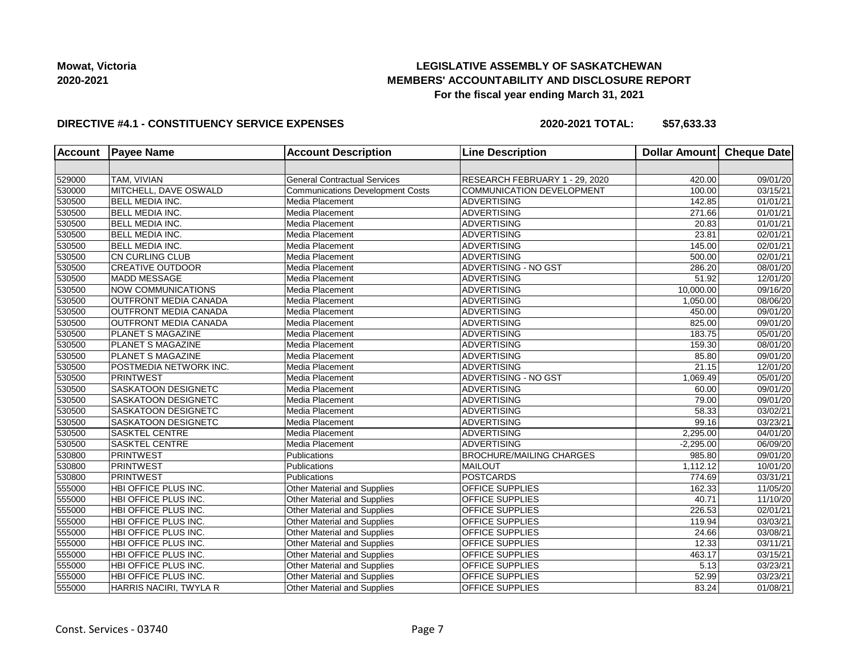## **LEGISLATIVE ASSEMBLY OF SASKATCHEWAN MEMBERS' ACCOUNTABILITY AND DISCLOSURE REPORT For the fiscal year ending March 31, 2021**

### **DIRECTIVE #4.1 - CONSTITUENCY SERVICE EXPENSES**

| <b>Account</b> | <b>Payee Name</b>            | <b>Account Description</b>              | <b>Line Description</b>          | Dollar Amount Cheque Date |          |
|----------------|------------------------------|-----------------------------------------|----------------------------------|---------------------------|----------|
|                |                              |                                         |                                  |                           |          |
| 529000         | TAM, VIVIAN                  | <b>General Contractual Services</b>     | RESEARCH FEBRUARY 1 - 29, 2020   | 420.00                    | 09/01/20 |
| 530000         | MITCHELL, DAVE OSWALD        | <b>Communications Development Costs</b> | <b>COMMUNICATION DEVELOPMENT</b> | 100.00                    | 03/15/21 |
| 530500         | <b>BELL MEDIA INC.</b>       | Media Placement                         | <b>ADVERTISING</b>               | 142.85                    | 01/01/21 |
| 530500         | <b>BELL MEDIA INC.</b>       | Media Placement                         | <b>ADVERTISING</b>               | 271.66                    | 01/01/21 |
| 530500         | <b>BELL MEDIA INC.</b>       | Media Placement                         | <b>ADVERTISING</b>               | 20.83                     | 01/01/21 |
| 530500         | <b>BELL MEDIA INC.</b>       | Media Placement                         | <b>ADVERTISING</b>               | 23.81                     | 02/01/21 |
| 530500         | <b>BELL MEDIA INC.</b>       | Media Placement                         | <b>ADVERTISING</b>               | 145.00                    | 02/01/21 |
| 530500         | <b>CN CURLING CLUB</b>       | Media Placement                         | <b>ADVERTISING</b>               | 500.00                    | 02/01/21 |
| 530500         | <b>CREATIVE OUTDOOR</b>      | Media Placement                         | ADVERTISING - NO GST             | 286.20                    | 08/01/20 |
| 530500         | <b>MADD MESSAGE</b>          | Media Placement                         | <b>ADVERTISING</b>               | 51.92                     | 12/01/20 |
| 530500         | <b>NOW COMMUNICATIONS</b>    | Media Placement                         | <b>ADVERTISING</b>               | 10,000.00                 | 09/16/20 |
| 530500         | <b>OUTFRONT MEDIA CANADA</b> | Media Placement                         | <b>ADVERTISING</b>               | 1,050.00                  | 08/06/20 |
| 530500         | <b>OUTFRONT MEDIA CANADA</b> | Media Placement                         | <b>ADVERTISING</b>               | 450.00                    | 09/01/20 |
| 530500         | <b>OUTFRONT MEDIA CANADA</b> | Media Placement                         | <b>ADVERTISING</b>               | 825.00                    | 09/01/20 |
| 530500         | PLANET S MAGAZINE            | Media Placement                         | <b>ADVERTISING</b>               | 183.75                    | 05/01/20 |
| 530500         | PLANET S MAGAZINE            | Media Placement                         | ADVERTISING                      | 159.30                    | 08/01/20 |
| 530500         | PLANET S MAGAZINE            | Media Placement                         | <b>ADVERTISING</b>               | 85.80                     | 09/01/20 |
| 530500         | POSTMEDIA NETWORK INC.       | Media Placement                         | <b>ADVERTISING</b>               | 21.15                     | 12/01/20 |
| 530500         | <b>PRINTWEST</b>             | Media Placement                         | ADVERTISING - NO GST             | 1,069.49                  | 05/01/20 |
| 530500         | SASKATOON DESIGNETC          | Media Placement                         | <b>ADVERTISING</b>               | 60.00                     | 09/01/20 |
| 530500         | SASKATOON DESIGNETC          | Media Placement                         | <b>ADVERTISING</b>               | 79.00                     | 09/01/20 |
| 530500         | SASKATOON DESIGNETC          | Media Placement                         | <b>ADVERTISING</b>               | 58.33                     | 03/02/21 |
| 530500         | <b>SASKATOON DESIGNETC</b>   | Media Placement                         | <b>ADVERTISING</b>               | 99.16                     | 03/23/21 |
| 530500         | <b>SASKTEL CENTRE</b>        | Media Placement                         | <b>ADVERTISING</b>               | 2,295.00                  | 04/01/20 |
| 530500         | <b>SASKTEL CENTRE</b>        | Media Placement                         | <b>ADVERTISING</b>               | $-2,295.00$               | 06/09/20 |
| 530800         | PRINTWEST                    | Publications                            | <b>BROCHURE/MAILING CHARGES</b>  | 985.80                    | 09/01/20 |
| 530800         | PRINTWEST                    | Publications                            | MAILOUT                          | 1,112.12                  | 10/01/20 |
| 530800         | PRINTWEST                    | Publications                            | <b>POSTCARDS</b>                 | 774.69                    | 03/31/21 |
| 555000         | HBI OFFICE PLUS INC.         | Other Material and Supplies             | OFFICE SUPPLIES                  | 162.33                    | 11/05/20 |
| 555000         | HBI OFFICE PLUS INC.         | <b>Other Material and Supplies</b>      | OFFICE SUPPLIES                  | 40.71                     | 11/10/20 |
| 555000         | HBI OFFICE PLUS INC.         | Other Material and Supplies             | OFFICE SUPPLIES                  | 226.53                    | 02/01/21 |
| 555000         | HBI OFFICE PLUS INC.         | Other Material and Supplies             | OFFICE SUPPLIES                  | 119.94                    | 03/03/21 |
| 555000         | HBI OFFICE PLUS INC.         | Other Material and Supplies             | OFFICE SUPPLIES                  | 24.66                     | 03/08/21 |
| 555000         | HBI OFFICE PLUS INC.         | Other Material and Supplies             | OFFICE SUPPLIES                  | 12.33                     | 03/11/21 |
| 555000         | HBI OFFICE PLUS INC.         | Other Material and Supplies             | OFFICE SUPPLIES                  | 463.17                    | 03/15/21 |
| 555000         | HBI OFFICE PLUS INC.         | <b>Other Material and Supplies</b>      | OFFICE SUPPLIES                  | 5.13                      | 03/23/21 |
| 555000         | HBI OFFICE PLUS INC.         | Other Material and Supplies             | OFFICE SUPPLIES                  | 52.99                     | 03/23/21 |
| 555000         | HARRIS NACIRI, TWYLA R       | Other Material and Supplies             | OFFICE SUPPLIES                  | 83.24                     | 01/08/21 |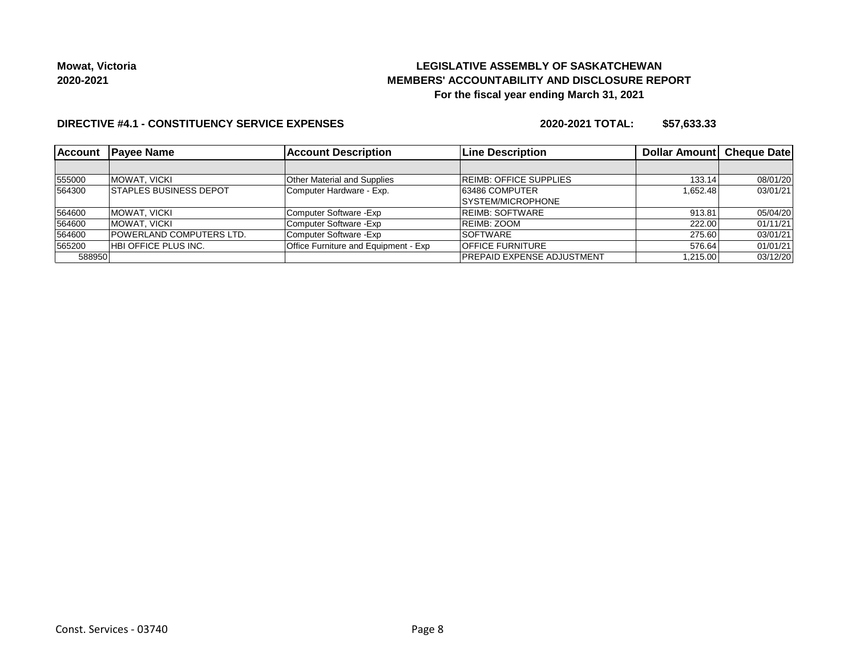## **LEGISLATIVE ASSEMBLY OF SASKATCHEWAN MEMBERS' ACCOUNTABILITY AND DISCLOSURE REPORT For the fiscal year ending March 31, 2021**

### **DIRECTIVE #4.1 - CONSTITUENCY SERVICE EXPENSES**

| Account | <b>IPavee Name</b>             | <b>Account Description</b>           | <b>Line Description</b>           | Dollar Amount Cheque Date |          |
|---------|--------------------------------|--------------------------------------|-----------------------------------|---------------------------|----------|
|         |                                |                                      |                                   |                           |          |
| 555000  | IMOWAT. VICKI                  | <b>Other Material and Supplies</b>   | <b>REIMB: OFFICE SUPPLIES</b>     | 133.14                    | 08/01/20 |
| 564300  | <b>ISTAPLES BUSINESS DEPOT</b> | Computer Hardware - Exp.             | 63486 COMPUTER                    | 1.652.48                  | 03/01/21 |
|         |                                |                                      | SYSTEM/MICROPHONE                 |                           |          |
| 564600  | MOWAT, VICKI                   | Computer Software - Exp              | <b>REIMB: SOFTWARE</b>            | 913.81                    | 05/04/20 |
| 564600  | IMOWAT. VICKI                  | Computer Software - Exp              | IREIMB: ZOOM                      | 222.00                    | 01/11/21 |
| 564600  | POWERLAND COMPUTERS LTD.       | Computer Software - Exp              | <b>SOFTWARE</b>                   | 275.60                    | 03/01/21 |
| 565200  | HBI OFFICE PLUS INC.           | Office Furniture and Equipment - Exp | <b>OFFICE FURNITURE</b>           | 576.64                    | 01/01/21 |
| 588950  |                                |                                      | <b>PREPAID EXPENSE ADJUSTMENT</b> | 1.215.00                  | 03/12/20 |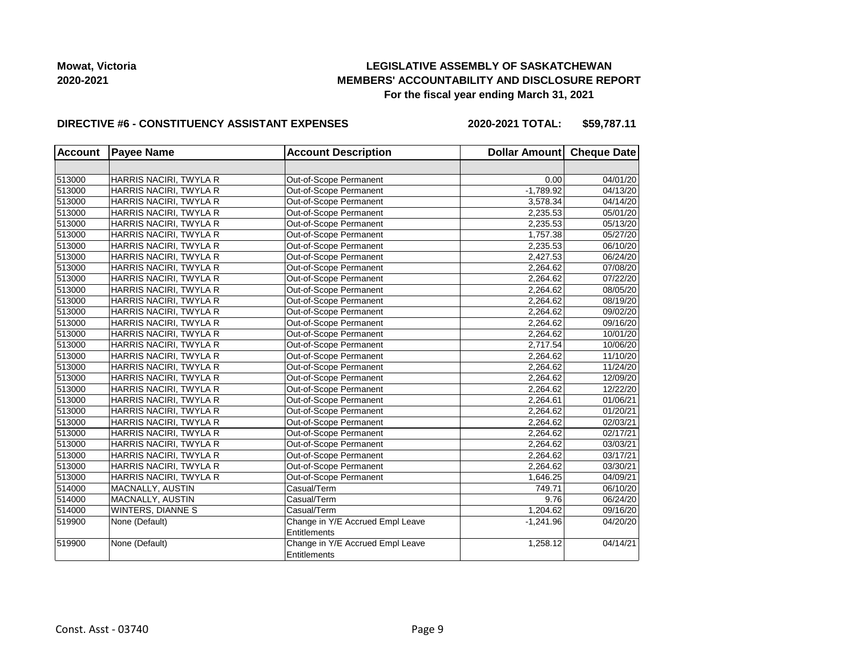## **LEGISLATIVE ASSEMBLY OF SASKATCHEWAN MEMBERS' ACCOUNTABILITY AND DISCLOSURE REPORT For the fiscal year ending March 31, 2021**

### **DIRECTIVE #6 - CONSTITUENCY ASSISTANT EXPENSES**

**2020-2021 TOTAL: \$59,787.11**

| <b>Account</b> | <b>Payee Name</b>      | <b>Account Description</b>                       | Dollar Amount Cheque Date |          |
|----------------|------------------------|--------------------------------------------------|---------------------------|----------|
|                |                        |                                                  |                           |          |
| 513000         | HARRIS NACIRI, TWYLA R | Out-of-Scope Permanent                           | 0.00                      | 04/01/20 |
| 513000         | HARRIS NACIRI, TWYLA R | Out-of-Scope Permanent                           | $-1,789.92$               | 04/13/20 |
| 513000         | HARRIS NACIRI, TWYLA R | Out-of-Scope Permanent                           | 3,578.34                  | 04/14/20 |
| 513000         | HARRIS NACIRI, TWYLA R | Out-of-Scope Permanent                           | 2,235.53                  | 05/01/20 |
| 513000         | HARRIS NACIRI, TWYLA R | Out-of-Scope Permanent                           | 2,235.53                  | 05/13/20 |
| 513000         | HARRIS NACIRI, TWYLA R | Out-of-Scope Permanent                           | 1,757.38                  | 05/27/20 |
| 513000         | HARRIS NACIRI, TWYLA R | Out-of-Scope Permanent                           | 2,235.53                  | 06/10/20 |
| 513000         | HARRIS NACIRI, TWYLA R | Out-of-Scope Permanent                           | 2,427.53                  | 06/24/20 |
| 513000         | HARRIS NACIRI, TWYLA R | Out-of-Scope Permanent                           | 2,264.62                  | 07/08/20 |
| 513000         | HARRIS NACIRI, TWYLA R | Out-of-Scope Permanent                           | 2,264.62                  | 07/22/20 |
| 513000         | HARRIS NACIRI, TWYLA R | Out-of-Scope Permanent                           | 2,264.62                  | 08/05/20 |
| 513000         | HARRIS NACIRI, TWYLA R | Out-of-Scope Permanent                           | 2,264.62                  | 08/19/20 |
| 513000         | HARRIS NACIRI, TWYLA R | Out-of-Scope Permanent                           | 2,264.62                  | 09/02/20 |
| 513000         | HARRIS NACIRI, TWYLA R | Out-of-Scope Permanent                           | 2,264.62                  | 09/16/20 |
| 513000         | HARRIS NACIRI, TWYLA R | Out-of-Scope Permanent                           | 2,264.62                  | 10/01/20 |
| 513000         | HARRIS NACIRI, TWYLA R | Out-of-Scope Permanent                           | 2,717.54                  | 10/06/20 |
| 513000         | HARRIS NACIRI, TWYLA R | Out-of-Scope Permanent                           | 2,264.62                  | 11/10/20 |
| 513000         | HARRIS NACIRI, TWYLA R | Out-of-Scope Permanent                           | 2,264.62                  | 11/24/20 |
| 513000         | HARRIS NACIRI, TWYLA R | Out-of-Scope Permanent                           | 2,264.62                  | 12/09/20 |
| 513000         | HARRIS NACIRI, TWYLA R | Out-of-Scope Permanent                           | 2,264.62                  | 12/22/20 |
| 513000         | HARRIS NACIRI, TWYLA R | Out-of-Scope Permanent                           | 2,264.61                  | 01/06/21 |
| 513000         | HARRIS NACIRI, TWYLA R | Out-of-Scope Permanent                           | 2,264.62                  | 01/20/21 |
| 513000         | HARRIS NACIRI, TWYLA R | Out-of-Scope Permanent                           | 2,264.62                  | 02/03/21 |
| 513000         | HARRIS NACIRI, TWYLA R | Out-of-Scope Permanent                           | 2,264.62                  | 02/17/21 |
| 513000         | HARRIS NACIRI, TWYLA R | Out-of-Scope Permanent                           | 2,264.62                  | 03/03/21 |
| 513000         | HARRIS NACIRI, TWYLA R | Out-of-Scope Permanent                           | 2,264.62                  | 03/17/21 |
| 513000         | HARRIS NACIRI, TWYLA R | Out-of-Scope Permanent                           | 2,264.62                  | 03/30/21 |
| 513000         | HARRIS NACIRI, TWYLA R | Out-of-Scope Permanent                           | 1,646.25                  | 04/09/21 |
| 514000         | MACNALLY, AUSTIN       | Casual/Term                                      | 749.71                    | 06/10/20 |
| 514000         | MACNALLY, AUSTIN       | Casual/Term                                      | 9.76                      | 06/24/20 |
| 514000         | WINTERS, DIANNE S      | Casual/Term                                      | 1,204.62                  | 09/16/20 |
| 519900         | None (Default)         | Change in Y/E Accrued Empl Leave                 | $-1,241.96$               | 04/20/20 |
|                |                        | Entitlements                                     |                           |          |
| 519900         | None (Default)         | Change in Y/E Accrued Empl Leave<br>Entitlements | 1,258.12                  | 04/14/21 |